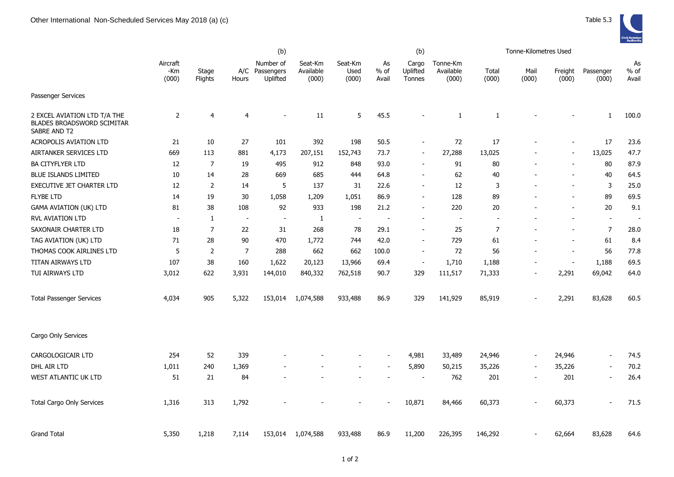|                                                                                   |                          |                  |                          | (b)                                     |                               |                          |                          | (b)                         |                                |                | Tonne-Kilometres Used |                          |                          |                       |
|-----------------------------------------------------------------------------------|--------------------------|------------------|--------------------------|-----------------------------------------|-------------------------------|--------------------------|--------------------------|-----------------------------|--------------------------------|----------------|-----------------------|--------------------------|--------------------------|-----------------------|
|                                                                                   | Aircraft<br>-Km<br>(000) | Stage<br>Flights | Hours                    | Number of<br>A/C Passengers<br>Uplifted | Seat-Km<br>Available<br>(000) | Seat-Km<br>Used<br>(000) | As<br>% of<br>Avail      | Cargo<br>Uplifted<br>Tonnes | Tonne-Km<br>Available<br>(000) | Total<br>(000) | Mail<br>(000)         | Freight<br>(000)         | Passenger<br>(000)       | As<br>$%$ of<br>Avail |
| Passenger Services                                                                |                          |                  |                          |                                         |                               |                          |                          |                             |                                |                |                       |                          |                          |                       |
| 2 EXCEL AVIATION LTD T/A THE<br><b>BLADES BROADSWORD SCIMITAR</b><br>SABRE AND T2 | 2                        | 4                | 4                        |                                         | 11                            | 5                        | 45.5                     | ÷,                          | $\mathbf{1}$                   | 1              |                       |                          | 1                        | 100.0                 |
| <b>ACROPOLIS AVIATION LTD</b>                                                     | 21                       | 10               | 27                       | 101                                     | 392                           | 198                      | 50.5                     | $\blacksquare$              | 72                             | 17             |                       | $\overline{\phantom{a}}$ | 17                       | 23.6                  |
| AIRTANKER SERVICES LTD                                                            | 669                      | 113              | 881                      | 4,173                                   | 207,151                       | 152,743                  | 73.7                     | $\overline{\phantom{0}}$    | 27,288                         | 13,025         |                       | $\overline{\phantom{a}}$ | 13,025                   | 47.7                  |
| <b>BA CITYFLYER LTD</b>                                                           | 12                       | 7                | 19                       | 495                                     | 912                           | 848                      | 93.0                     | Ξ.                          | 91                             | 80             |                       | $\overline{\phantom{a}}$ | 80                       | 87.9                  |
| <b>BLUE ISLANDS LIMITED</b>                                                       | 10                       | 14               | 28                       | 669                                     | 685                           | 444                      | 64.8                     | ٠                           | 62                             | 40             |                       | $\overline{\phantom{a}}$ | 40                       | 64.5                  |
| EXECUTIVE JET CHARTER LTD                                                         | 12                       | 2                | 14                       | 5                                       | 137                           | 31                       | 22.6                     | ٠                           | 12                             | 3              |                       | $\blacksquare$           | 3                        | 25.0                  |
| <b>FLYBE LTD</b>                                                                  | 14                       | 19               | 30                       | 1,058                                   | 1,209                         | 1,051                    | 86.9                     | $\blacksquare$              | 128                            | 89             |                       | $\overline{\phantom{a}}$ | 89                       | 69.5                  |
| <b>GAMA AVIATION (UK) LTD</b>                                                     | 81                       | 38               | 108                      | 92                                      | 933                           | 198                      | 21.2                     | $\overline{\phantom{a}}$    | 220                            | 20             |                       | $\overline{\phantom{a}}$ | 20                       | 9.1                   |
| <b>RVL AVIATION LTD</b>                                                           | $\sim$                   | $\mathbf{1}$     | $\overline{\phantom{a}}$ | $\overline{\phantom{a}}$                | 1                             | $\sim$                   | $\overline{\phantom{a}}$ | ÷,                          | $\blacksquare$                 | $\blacksquare$ |                       | $\blacksquare$           | $\blacksquare$           |                       |
| SAXONAIR CHARTER LTD                                                              | 18                       | 7                | 22                       | 31                                      | 268                           | 78                       | 29.1                     | $\blacksquare$              | 25                             | $\overline{7}$ |                       | $\sim$                   | 7                        | 28.0                  |
| TAG AVIATION (UK) LTD                                                             | 71                       | 28               | 90                       | 470                                     | 1,772                         | 744                      | 42.0                     | $\overline{\phantom{0}}$    | 729                            | 61             |                       | $\blacksquare$           | 61                       | 8.4                   |
| THOMAS COOK AIRLINES LTD                                                          | 5                        | 2                | $\overline{7}$           | 288                                     | 662                           | 662                      | 100.0                    | $\blacksquare$              | 72                             | 56             |                       | $\overline{\phantom{a}}$ | 56                       | 77.8                  |
| TITAN AIRWAYS LTD                                                                 | 107                      | 38               | 160                      | 1,622                                   | 20,123                        | 13,966                   | 69.4                     | $\blacksquare$              | 1,710                          | 1,188          |                       | $\overline{\phantom{a}}$ | 1,188                    | 69.5                  |
| TUI AIRWAYS LTD                                                                   | 3,012                    | 622              | 3,931                    | 144,010                                 | 840,332                       | 762,518                  | 90.7                     | 329                         | 111,517                        | 71,333         |                       | 2,291                    | 69,042                   | 64.0                  |
| <b>Total Passenger Services</b>                                                   | 4,034                    | 905              | 5,322                    | 153,014                                 | 1,074,588                     | 933,488                  | 86.9                     | 329                         | 141,929                        | 85,919         |                       | 2,291                    | 83,628                   | 60.5                  |
| Cargo Only Services                                                               |                          |                  |                          |                                         |                               |                          |                          |                             |                                |                |                       |                          |                          |                       |
| CARGOLOGICAIR LTD                                                                 | 254                      | 52               | 339                      |                                         |                               |                          |                          | 4,981                       | 33,489                         | 24,946         |                       | 24,946                   | $\sim$                   | 74.5                  |
| DHL AIR LTD                                                                       | 1,011                    | 240              | 1,369                    |                                         |                               |                          |                          | 5,890                       | 50,215                         | 35,226         |                       | 35,226                   | $\overline{\phantom{a}}$ | 70.2                  |
| WEST ATLANTIC UK LTD                                                              | 51                       | 21               | 84                       |                                         |                               |                          |                          |                             | 762                            | 201            |                       | 201                      | $\overline{\phantom{a}}$ | 26.4                  |
| <b>Total Cargo Only Services</b>                                                  | 1,316                    | 313              | 1,792                    |                                         |                               |                          |                          | 10,871                      | 84,466                         | 60,373         |                       | 60,373                   |                          | 71.5                  |
| <b>Grand Total</b>                                                                | 5,350                    | 1,218            | 7,114                    | 153,014                                 | 1,074,588                     | 933,488                  | 86.9                     | 11,200                      | 226,395                        | 146,292        |                       | 62,664                   | 83,628                   | 64.6                  |